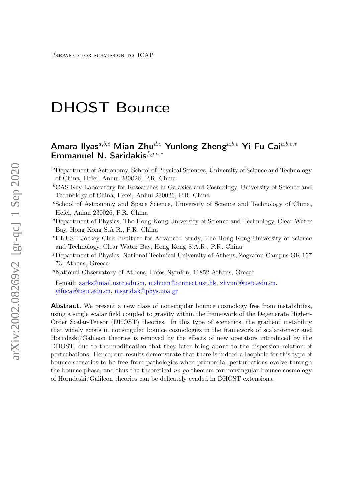# DHOST Bounce

# Amara Ilyas<sup>a,b,c</sup> Mian Zhu<sup>d,e</sup> Yunlong Zheng<sup>a,b,c</sup> Yi-Fu Cai<sup>a,b,c,\*</sup> Emmanuel N. Saridakis *f,g,a,*\*

<sup>a</sup>Department of Astronomy, School of Physical Sciences, University of Science and Technology of China, Hefei, Anhui 230026, P.R. China

- <sup>b</sup>CAS Key Laboratory for Researches in Galaxies and Cosmology, University of Science and Technology of China, Hefei, Anhui 230026, P.R. China
- <sup>c</sup>School of Astronomy and Space Science, University of Science and Technology of China, Hefei, Anhui 230026, P.R. China
- <sup>d</sup>Department of Physics, The Hong Kong University of Science and Technology, Clear Water Bay, Hong Kong S.A.R., P.R. China
- <sup>e</sup>HKUST Jockey Club Institute for Advanced Study, The Hong Kong University of Science and Technology, Clear Water Bay, Hong Kong S.A.R., P.R. China
- $<sup>f</sup>$ Department of Physics, National Technical University of Athens, Zografou Campus GR 157</sup> 73, Athens, Greece

<sup>g</sup>National Observatory of Athens, Lofos Nymfon, 11852 Athens, Greece

E-mail: [aarks@mail.ustc.edu.cn,](mailto:aarks@mail.ustc.edu.cn) [mzhuan@connect.ust.hk,](mailto:mzhuan@connect.ust.hk) [zhyunl@ustc.edu.cn,](mailto:zhyunl@ustc.edu.cn) [yifucai@ustc.edu.cn,](mailto:yifucai@ustc.edu.cn) [msaridak@phys.uoa.gr](mailto:msaridak@phys.uoa.gr)

**Abstract.** We present a new class of nonsingular bounce cosmology free from instabilities, using a single scalar field coupled to gravity within the framework of the Degenerate Higher-Order Scalar-Tensor (DHOST) theories. In this type of scenarios, the gradient instability that widely exists in nonsingular bounce cosmologies in the framework of scalar-tensor and Horndeski/Galileon theories is removed by the effects of new operators introduced by the DHOST, due to the modification that they later bring about to the dispersion relation of perturbations. Hence, our results demonstrate that there is indeed a loophole for this type of bounce scenarios to be free from pathologies when primordial perturbations evolve through the bounce phase, and thus the theoretical  $no-go$  theorem for nonsingular bounce cosmology of Horndeski/Galileon theories can be delicately evaded in DHOST extensions.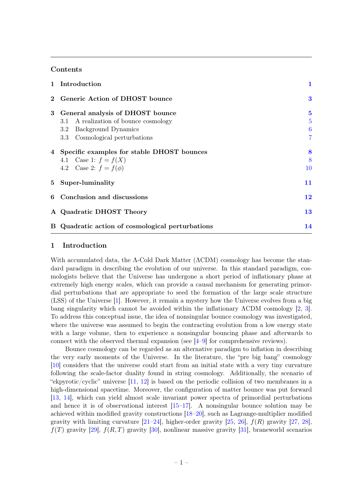# Contents

|              | 1 Introduction                                                                                                                                   | $\mathbf 1$                                                      |
|--------------|--------------------------------------------------------------------------------------------------------------------------------------------------|------------------------------------------------------------------|
| $\mathbf{2}$ | Generic Action of DHOST bounce                                                                                                                   | 3                                                                |
| $3 -$        | General analysis of DHOST bounce<br>A realization of bounce cosmology<br>3.1<br>Background Dynamics<br>$3.2\,$<br>3.3 Cosmological perturbations | $\bf{5}$<br>$\overline{5}$<br>$\boldsymbol{6}$<br>$\overline{7}$ |
|              | 4 Specific examples for stable DHOST bounces<br>4.1 Case 1: $f = f(X)$<br>4.2 Case 2: $f = f(\phi)$                                              | 8<br>8<br>10                                                     |
|              | 5 Super-luminality                                                                                                                               | 11                                                               |
| 6            | Conclusion and discussions                                                                                                                       | 12                                                               |
|              | A Quadratic DHOST Theory                                                                                                                         | 13                                                               |
|              | B Quadratic action of cosmological perturbations                                                                                                 | 14                                                               |

### <span id="page-1-0"></span>1 Introduction

With accumulated data, the  $\Lambda$ -Cold Dark Matter ( $\Lambda$ CDM) cosmology has become the standard paradigm in describing the evolution of our universe. In this standard paradigm, cosmologists believe that the Universe has undergone a short period of inflationary phase at extremely high energy scales, which can provide a causal mechanism for generating primordial perturbations that are appropriate to seed the formation of the large scale structure (LSS) of the Universe [\[1\]](#page-17-0). However, it remain a mystery how the Universe evolves from a big bang singularity which cannot be avoided within the inflationary ΛCDM cosmology [\[2,](#page-17-1) [3\]](#page-17-2). To address this conceptual issue, the idea of nonsingular bounce cosmology was investigated, where the universe was assumed to begin the contracting evolution from a low energy state with a large volume, then to experience a nonsingular bouncing phase and afterwards to connect with the observed thermal expansion (see [\[4–](#page-17-3)[9\]](#page-17-4) for comprehensive reviews).

Bounce cosmology can be regarded as an alternative paradigm to inflation in describing the very early moments of the Universe. In the literature, the "pre big bang" cosmology [\[10\]](#page-17-5) considers that the universe could start from an initial state with a very tiny curvature following the scale-factor duality found in string cosmology. Additionally, the scenario of "ekpyrotic/cyclic" universe  $[11, 12]$  $[11, 12]$  $[11, 12]$  is based on the periodic collision of two membranes in a high-dimensional spacetime. Moreover, the configuration of matter bounce was put forward [\[13,](#page-17-8) [14\]](#page-17-9), which can yield almost scale invariant power spectra of primordial perturbations and hence it is of observational interest [\[15–](#page-17-10)[17\]](#page-17-11). A nonsingular bounce solution may be achieved within modified gravity constructions [\[18–](#page-17-12)[20\]](#page-17-13), such as Lagrange-multiplier modified gravity with limiting curvature  $[21-24]$  $[21-24]$ , higher-order gravity  $[25, 26]$  $[25, 26]$  $[25, 26]$ ,  $f(R)$  gravity  $[27, 28]$  $[27, 28]$  $[27, 28]$ ,  $f(T)$  gravity [\[29\]](#page-18-6),  $f(R,T)$  gravity [\[30\]](#page-18-7), nonlinear massive gravity [\[31\]](#page-18-8), braneworld scenarios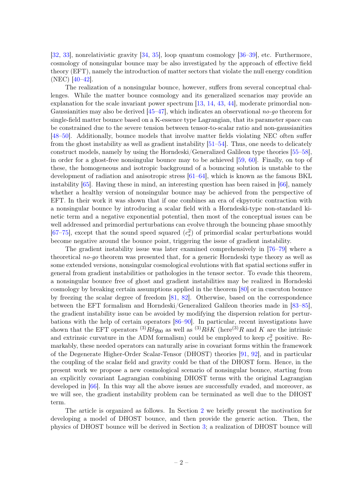[\[32,](#page-18-9) [33\]](#page-18-10), nonrelativistic gravity [\[34,](#page-18-11) [35\]](#page-18-12), loop quantum cosmology [\[36–](#page-18-13)[39\]](#page-18-14), etc. Furthermore, cosmology of nonsingular bounce may be also investigated by the approach of effective field theory (EFT), namely the introduction of matter sectors that violate the null energy condition (NEC) [\[40–](#page-18-15)[42\]](#page-19-0).

The realization of a nonsingular bounce, however, suffers from several conceptual challenges. While the matter bounce cosmology and its generalized scenarios may provide an explanation for the scale invariant power spectrum [\[13,](#page-17-8) [14,](#page-17-9) [43,](#page-19-1) [44\]](#page-19-2), moderate primordial non-Gaussianities may also be derived  $[45-47]$  $[45-47]$ , which indicates an observational  $no-qo$  theorem for single-field matter bounce based on a K-essence type Lagrangian, that its parameter space can be constrained due to the severe tension between tensor-to-scalar ratio and non-gaussianities [\[48](#page-19-5)[–50\]](#page-19-6). Additionally, bounce models that involve matter fields violating NEC often suffer from the ghost instability as well as gradient instability [\[51–](#page-19-7)[54\]](#page-19-8). Thus, one needs to delicately construct models, namely by using the Horndeski/Generalized Galileon type theories [\[55–](#page-19-9)[58\]](#page-19-10), in order for a ghost-free nonsingular bounce may to be achieved [\[59,](#page-19-11) [60\]](#page-19-12). Finally, on top of these, the homogeneous and isotropic background of a bouncing solution is unstable to the development of radiation and anisotropic stress [\[61–](#page-20-0)[64\]](#page-20-1), which is known as the famous BKL instability [\[65\]](#page-20-2). Having these in mind, an interesting question has been raised in [\[66\]](#page-20-3), namely whether a healthy version of nonsingular bounce may be achieved from the perspective of EFT. In their work it was shown that if one combines an era of ekpyrotic contraction with a nonsingular bounce by introducing a scalar field with a Horndeski-type non-standard kinetic term and a negative exponential potential, then most of the conceptual issues can be well addressed and primordial perturbations can evolve through the bouncing phase smoothly [\[67](#page-20-4)[–75\]](#page-20-5), except that the sound speed squared  $(c_s^2)$  of primordial scalar perturbations would become negative around the bounce point, triggering the issue of gradient instability.

The gradient instability issue was later examined comprehensively in [\[76–](#page-20-6)[79\]](#page-20-7) where a theoretical no-go theorem was presented that, for a generic Horndeski type theory as well as some extended versions, nonsingular cosmological evolutions with flat spatial sections suffer in general from gradient instabilities or pathologies in the tensor sector. To evade this theorem, a nonsingular bounce free of ghost and gradient instabilities may be realized in Horndeski cosmology by breaking certain assumptions applied in the theorem [\[80\]](#page-21-0) or in cuscuton bounce by freezing the scalar degree of freedom [\[81,](#page-21-1) [82\]](#page-21-2). Otherwise, based on the correspondence between the EFT formalism and Horndeski/Generalized Galileon theories made in [\[83–](#page-21-3)[85\]](#page-21-4), the gradient instability issue can be avoided by modifying the dispersion relation for perturbations with the help of certain operators [\[86](#page-21-5)[–90\]](#page-21-6). In particular, recent investigations have shown that the EFT operators <sup>(3)</sup> $R\delta g_{00}$  as well as <sup>(3)</sup> $R\delta K$  (here<sup>(3)</sup> $R$  and  $K$  are the intrinsic and extrinsic curvature in the ADM formalism) could be employed to keep  $c_s^2$  positive. Remarkably, these needed operators can naturally arise in covariant forms within the framework of the Degenerate Higher-Order Scalar-Tensor (DHOST) theories [\[91,](#page-21-7) [92\]](#page-21-8), and in particular the coupling of the scalar field and gravity could be that of the DHOST form. Hence, in the present work we propose a new cosmological scenario of nonsingular bounce, starting from an explicitly covariant Lagrangian combining DHOST terms with the original Lagrangian developed in [\[66\]](#page-20-3). In this way all the above issues are successfully evaded, and moreover, as we will see, the gradient instability problem can be terminated as well due to the DHOST term.

The article is organized as follows. In Section [2](#page-3-0) we briefly present the motivation for developing a model of DHOST bounce, and then provide the generic action. Then, the physics of DHOST bounce will be derived in Section [3;](#page-5-0) a realization of DHOST bounce will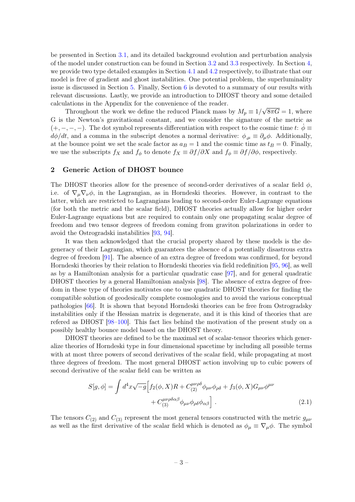be presented in Section [3.1,](#page-5-1) and its detailed background evolution and perturbation analysis of the model under construction can be found in Section [3.2](#page-6-0) and [3.3](#page-7-0) respectively. In Section [4,](#page-8-0) we provide two type detailed examples in Section [4.1](#page-8-1) and [4.2](#page-10-0) respectively, to illustrate that our model is free of gradient and ghost instabilities. One potential problem, the superluminality issue is discussed in Section [5.](#page-11-0) Finally, Section [6](#page-12-0) is devoted to a summary of our results with relevant discussions. Lastly, we provide an introduction to DHOST theory and some detailed calculations in the Appendix for the convenience of the reader. √

Throughout the work we define the reduced Planck mass by  $M_p \equiv 1/2$  $8\pi G = 1$ , where G is the Newton's gravitational constant, and we consider the signature of the metric as  $(+, -, -, -)$ . The dot symbol represents differentiation with respect to the cosmic time t:  $\phi \equiv$  $d\phi/dt$ , and a comma in the subscript denotes a normal derivative:  $\phi_{,\mu} \equiv \partial_{\mu}\phi$ . Additionally, at the bounce point we set the scale factor as  $a_B = 1$  and the cosmic time as  $t_B = 0$ . Finally, we use the subscripts  $f_X$  and  $f_{\phi}$  to denote  $f_X \equiv \partial f / \partial X$  and  $f_{\phi} \equiv \partial f / \partial \phi$ , respectively.

# <span id="page-3-0"></span>2 Generic Action of DHOST bounce

The DHOST theories allow for the presence of second-order derivatives of a scalar field  $\phi$ , i.e. of  $\nabla_\mu \nabla_\nu \phi$ , in the Lagrangian, as in Horndeski theories. However, in contrast to the latter, which are restricted to Lagrangians leading to second-order Euler-Lagrange equations (for both the metric and the scalar field), DHOST theories actually allow for higher order Euler-Lagrange equations but are required to contain only one propagating scalar degree of freedom and two tensor degrees of freedom coming from graviton polarizations in order to avoid the Ostrogradski instabilities [\[93,](#page-21-9) [94\]](#page-21-10).

It was then acknowledged that the crucial property shared by these models is the degeneracy of their Lagrangian, which guarantees the absence of a potentially disastrous extra degree of freedom [\[91\]](#page-21-7). The absence of an extra degree of freedom was confirmed, for beyond Horndeski theories by their relation to Horndeski theories via field redefinition [\[95,](#page-21-11) [96\]](#page-21-12), as well as by a Hamiltonian analysis for a particular quadratic case [\[97\]](#page-21-13), and for general quadratic DHOST theories by a general Hamiltonian analysis [\[98\]](#page-21-14). The absence of extra degree of freedom in these type of theories motivates one to use quadratic DHOST theories for finding the compatible solution of geodesically complete cosmologies and to avoid the various conceptual pathologies [\[66\]](#page-20-3). It is shown that beyond Horndeski theories can be free from Ostrogradsky instabilities only if the Hessian matrix is degenerate, and it is this kind of theories that are refered as DHOST [\[98–](#page-21-14)[100\]](#page-21-15). This fact lies behind the motivation of the present study on a possibly healthy bounce model based on the DHOST theory.

DHOST theories are defined to be the maximal set of scalar-tensor theories which generalize theories of Horndeski type in four dimensional spacetime by including all possible terms with at most three powers of second derivatives of the scalar field, while propagating at most three degrees of freedom. The most general DHOST action involving up to cubic powers of second derivative of the scalar field can be written as

<span id="page-3-1"></span>
$$
S[g,\phi] = \int d^4x \sqrt{-g} \left[ f_2(\phi, X)R + C_{(2)}^{\mu\nu\rho\delta}\phi_{\mu\nu}\phi_{\rho\delta} + f_3(\phi, X)G_{\mu\nu}\phi^{\mu\nu} + C_{(3)}^{\mu\nu\rho\delta\alpha\beta}\phi_{\mu\nu}\phi_{\rho\delta}\phi_{\alpha\beta} \right].
$$
\n(2.1)

The tensors  $C_{(2)}$  and  $C_{(3)}$  represent the most general tensors constructed with the metric  $g_{\mu\nu}$ as well as the first derivative of the scalar field which is denoted as  $\phi_{\mu} \equiv \nabla_{\mu} \phi$ . The symbol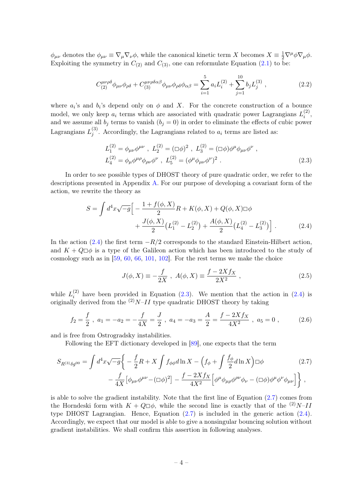$\phi_{\mu\nu}$  denotes the  $\phi_{\mu\nu} \equiv \nabla_{\mu} \nabla_{\nu} \phi$ , while the canonical kinetic term X becomes  $X \equiv \frac{1}{2} \nabla^{\mu} \phi \nabla_{\mu} \phi$ . Exploiting the symmetry in  $C_{(2)}$  and  $C_{(3)}$ , one can reformulate Equation [\(2.1\)](#page-3-1) to be:

<span id="page-4-3"></span>
$$
C_{(2)}^{\mu\nu\rho\delta}\phi_{\mu\nu}\phi_{\rho\delta} + C_{(3)}^{\mu\nu\rho\delta\alpha\beta}\phi_{\mu\nu}\phi_{\rho\delta}\phi_{\alpha\beta} = \sum_{i=1}^{5} a_i L_i^{(2)} + \sum_{j=1}^{10} b_j L_j^{(3)} ,\qquad (2.2)
$$

where  $a_i$ 's and  $b_i$ 's depend only on  $\phi$  and X. For the concrete construction of a bounce model, we only keep  $a_i$  terms which are associated with quadratic power Lagrangians  $L_i^{(2)}$  $\binom{2}{i}$ and we assume all  $b_j$  terms to vanish  $(b_j = 0)$  in order to eliminate the effects of cubic power Lagrangians  $L_i^{(3)}$  $j^{(5)}$ . Accordingly, the Lagrangians related to  $a_i$  terms are listed as:

<span id="page-4-1"></span>
$$
L_1^{(2)} = \phi_{\mu\nu}\phi^{\mu\nu} , L_2^{(2)} = (\Box \phi)^2 , L_3^{(2)} = (\Box \phi)\phi^{\mu}\phi_{\mu\nu}\phi^{\nu} ,
$$
  

$$
L_4^{(2)} = \phi_{\mu}\phi^{\mu\rho}\phi_{\rho\nu}\phi^{\nu} , L_5^{(2)} = (\phi^{\mu}\phi_{\mu\nu}\phi^{\nu})^2 .
$$
 (2.3)

In order to see possible types of DHOST theory of pure quadratic order, we refer to the descriptions presented in Appendix [A.](#page-13-0) For our purpose of developing a covariant form of the action, we rewrite the theory as

$$
S = \int d^4x \sqrt{-g} \Big[ -\frac{1 + f(\phi, X)}{2} R + K(\phi, X) + Q(\phi, X) \Box \phi + \frac{J(\phi, X)}{2} (L_1^{(2)} - L_2^{(2)}) + \frac{A(\phi, X)}{2} (L_4^{(2)} - L_3^{(2)}) \Big].
$$
 (2.4)

In the action [\(2.4\)](#page-4-0) the first term  $-R/2$  corresponds to the standard Einstein-Hilbert action, and  $K + Q \Box \phi$  is a type of the Galileon action which has been introduced to the study of cosmology such as in  $[59, 60, 66, 101, 102]$  $[59, 60, 66, 101, 102]$  $[59, 60, 66, 101, 102]$  $[59, 60, 66, 101, 102]$  $[59, 60, 66, 101, 102]$  $[59, 60, 66, 101, 102]$  $[59, 60, 66, 101, 102]$  $[59, 60, 66, 101, 102]$  $[59, 60, 66, 101, 102]$ . For the rest terms we make the choice

<span id="page-4-2"></span><span id="page-4-0"></span>
$$
J(\phi, X) \equiv -\frac{f}{2X} , \ A(\phi, X) \equiv \frac{f - 2Xf_X}{2X^2} , \qquad (2.5)
$$

while  $L_i^{(2)}$  $\binom{2}{i}$  have been provided in Equation [\(2.3\)](#page-4-1). We mention that the action in [\(2.4\)](#page-4-0) is originally derived from the  $^{(2)}N-II$  type quadratic DHOST theory by taking

$$
f_2 = \frac{f}{2}
$$
,  $a_1 = -a_2 = -\frac{f}{4X} = \frac{J}{2}$ ,  $a_4 = -a_3 = \frac{A}{2} = \frac{f - 2Xf_X}{4X^2}$ ,  $a_5 = 0$ , (2.6)

and is free from Ostrogradsky instabilities.

Following the EFT dictionary developed in [\[89\]](#page-21-16), one expects that the term

$$
S_{R^{(3)}\delta g^{00}} = \int d^4x \sqrt{-g} \left\{ -\frac{f}{2}R + X \int f_{\phi\phi} d\ln X - \left(f_{\phi} + \int \frac{f_{\phi}}{2} d\ln X\right) \Box \phi \right\}
$$
  

$$
- \frac{f}{4X} \left[ \phi_{\mu\nu} \phi^{\mu\nu} - (\Box \phi)^2 \right] - \frac{f - 2X f_X}{4X^2} \left[ \phi^{\mu} \phi_{\mu\rho} \phi^{\rho\nu} \phi_{\nu} - (\Box \phi) \phi^{\mu} \phi^{\nu} \phi_{\mu\nu} \right] \right\},
$$
(2.7)

is able to solve the gradient instability. Note that the first line of Equation [\(2.7\)](#page-4-2) comes from the Horndeski form with  $K + Q \Box \phi$ , while the second line is exactly that of the <sup>(2)</sup>N–II type DHOST Lagrangian. Hence, Equation [\(2.7\)](#page-4-2) is included in the generic action [\(2.4\)](#page-4-0). Accordingly, we expect that our model is able to give a nonsingular bouncing solution without gradient instabilities. We shall confirm this assertion in following analyses.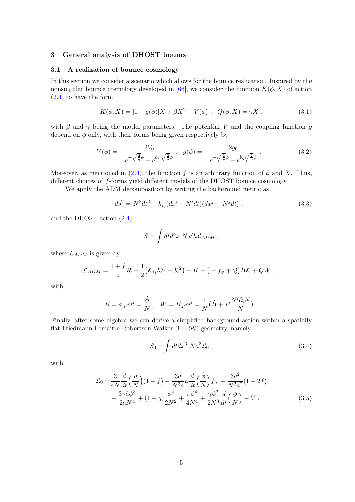# <span id="page-5-0"></span>3 General analysis of DHOST bounce

#### <span id="page-5-1"></span>3.1 A realization of bounce cosmology

In this section we consider a scenario which allows for the bounce realization. Inspired by the nonsingular bounce cosmology developed in [\[66\]](#page-20-3), we consider the function  $K(\phi, X)$  of action [\(2.4\)](#page-4-0) to have the form

$$
K(\phi, X) = [1 - g(\phi)]X + \beta X^2 - V(\phi) , Q(\phi, X) = \gamma X , \qquad (3.1)
$$

with  $\beta$  and  $\gamma$  being the model parameters. The potential V and the coupling function g depend on  $\phi$  only, with their forms being given respectively by

$$
V(\phi) = -\frac{2V_0}{e^{-\sqrt{\frac{2}{q}}\phi} + e^{b_V\sqrt{\frac{2}{q}}\phi}} , \quad g(\phi) = -\frac{2g_0}{e^{-\sqrt{\frac{2}{p}}\phi} + e^{b_g\sqrt{\frac{2}{p}}\phi}} .
$$
 (3.2)

Moreover, as mentioned in [\(2.4\)](#page-4-0), the function f is an arbitrary function of  $\phi$  and X. Thus, different choices of f-forms yield different models of the DHOST bounce cosmology.

We apply the ADM decomposition by writing the background metric as

$$
ds^{2} = N^{2}dt^{2} - h_{ij}(dx^{i} + N^{i}dt)(dx^{j} + N^{j}dt),
$$
\n(3.3)

and the DHOST action [\(2.4\)](#page-4-0)

<span id="page-5-2"></span>
$$
S = \int dt d^3x \ N \sqrt{h} \mathcal{L}_{ADM} ,
$$

where  $\mathcal{L}_{ADM}$  is given by

$$
\mathcal{L}_{ADM}=\frac{1+f}{2}\mathcal{R}+\frac{1}{2}\big(\mathcal{K}_{ij}\mathcal{K}^{ij}-\mathcal{K}^2\big)+K+\big(-f_{\phi}+Q\big)BK+QW,
$$

with

$$
B = \phi_{,\mu} n^{\mu} = \frac{\dot{\phi}}{N} , \ \ W = B_{,\mu} n^{\mu} = \frac{1}{N} (\dot{B} + B \frac{N^i \partial_i N}{N}) .
$$

Finally, after some algebra we can derive a simplified background action within a spatially flat Friedmann-Lemaître-Robertson-Walker (FLRW) geometry, namely

$$
S_0 = \int dt dx^3 \; Na^3 \mathcal{L}_0 \;, \tag{3.4}
$$

with

$$
\mathcal{L}_0 = \frac{3}{aN} \frac{d}{dt} \left( \frac{\dot{a}}{N} \right) (1+f) + \frac{3\dot{a}}{N^3 a} \dot{\phi} \frac{d}{dt} \left( \frac{\dot{\phi}}{N} \right) f_X + \frac{3\dot{a}^2}{N^2 a^2} (1+2f) + \frac{3\gamma \dot{a} \dot{\phi}^3}{2aN^4} + (1-g) \frac{\dot{\phi}^2}{2N^2} + \frac{\beta \dot{\phi}^4}{4N^4} + \frac{\gamma \dot{\phi}^2}{2N^3} \frac{d}{dt} \left( \frac{\dot{\phi}}{N} \right) - V .
$$
 (3.5)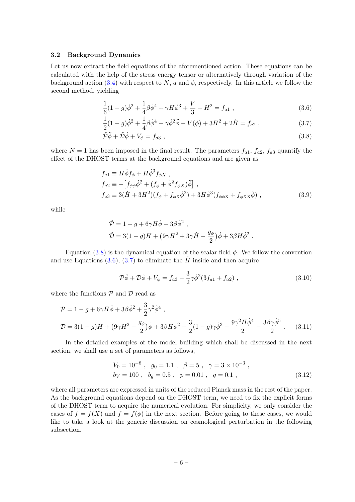#### <span id="page-6-0"></span>3.2 Background Dynamics

Let us now extract the field equations of the aforementioned action. These equations can be calculated with the help of the stress energy tensor or alternatively through variation of the background action [\(3.4\)](#page-5-2) with respect to N, a and  $\phi$ , respectively. In this article we follow the second method, yielding

<span id="page-6-3"></span><span id="page-6-2"></span>
$$
\frac{1}{6}(1-g)\dot{\phi}^2 + \frac{1}{4}\beta\dot{\phi}^4 + \gamma H\dot{\phi}^3 + \frac{V}{3} - H^2 = f_{a1} , \qquad (3.6)
$$

$$
\frac{1}{2}(1-g)\dot{\phi}^2 + \frac{1}{4}\beta\dot{\phi}^4 - \gamma\dot{\phi}^2\ddot{\phi} - V(\phi) + 3H^2 + 2\dot{H} = f_{a2} , \qquad (3.7)
$$

<span id="page-6-1"></span>
$$
\tilde{\mathcal{P}}\ddot{\phi} + \tilde{\mathcal{D}}\dot{\phi} + V_{\phi} = f_{a3} , \qquad (3.8)
$$

where  $N = 1$  has been imposed in the final result. The parameters  $f_{a1}$ ,  $f_{a2}$ ,  $f_{a3}$  quantify the effect of the DHOST terms at the background equations and are given as

$$
f_{a1} \equiv H \dot{\phi} f_{\phi} + H \dot{\phi}^{3} f_{\phi X} ,\nf_{a2} \equiv -[f_{\phi\phi} \dot{\phi}^{2} + (f_{\phi} + \dot{\phi}^{2} f_{\phi X}) \ddot{\phi}],\nf_{a3} \equiv 3(\dot{H} + 3H^{2})(f_{\phi} + f_{\phi X} \dot{\phi}^{2}) + 3H \dot{\phi}^{3} (f_{\phi\phi X} + f_{\phi X X} \ddot{\phi}) ,
$$
\n(3.9)

while

<span id="page-6-4"></span>
$$
\tilde{\mathcal{P}} = 1 - g + 6\gamma H \dot{\phi} + 3\beta \dot{\phi}^2 ,
$$
  

$$
\tilde{\mathcal{D}} = 3(1 - g)H + (9\gamma H^2 + 3\gamma \dot{H} - \frac{g_{\phi}}{2})\dot{\phi} + 3\beta H \dot{\phi}^2 .
$$

Equation [\(3.8\)](#page-6-1) is the dynamical equation of the scalar field  $\phi$ . We follow the convention and use Equations [\(3.6\)](#page-6-2), [\(3.7\)](#page-6-3) to eliminate the  $\dot{H}$  inside and then acquire

$$
\mathcal{P}\ddot{\phi} + \mathcal{D}\dot{\phi} + V_{\phi} = f_{a3} - \frac{3}{2}\gamma\dot{\phi}^{2}(3f_{a1} + f_{a2}), \qquad (3.10)
$$

where the functions  $P$  and  $D$  read as

$$
\mathcal{P} = 1 - g + 6\gamma H \dot{\phi} + 3\beta \dot{\phi}^2 + \frac{3}{2} \gamma^2 \dot{\phi}^4 ,
$$
  

$$
\mathcal{D} = 3(1 - g)H + (9\gamma H^2 - \frac{g_\phi}{2})\dot{\phi} + 3\beta H \dot{\phi}^2 - \frac{3}{2}(1 - g)\gamma \dot{\phi}^3 - \frac{9\gamma^2 H \dot{\phi}^4}{2} - \frac{3\beta \gamma \dot{\phi}^5}{2} .
$$
 (3.11)

In the detailed examples of the model building which shall be discussed in the next section, we shall use a set of parameters as follows,

<span id="page-6-5"></span>
$$
V_0 = 10^{-8}, \quad g_0 = 1.1, \quad \beta = 5, \quad \gamma = 3 \times 10^{-3},
$$
  
\n
$$
b_V = 100, \quad b_g = 0.5, \quad p = 0.01, \quad q = 0.1,
$$
 (3.12)

where all parameters are expressed in units of the reduced Planck mass in the rest of the paper. As the background equations depend on the DHOST term, we need to fix the explicit forms of the DHOST term to acquire the numerical evolution. For simplicity, we only consider the cases of  $f = f(X)$  and  $f = f(\phi)$  in the next section. Before going to these cases, we would like to take a look at the generic discussion on cosmological perturbation in the following subsection.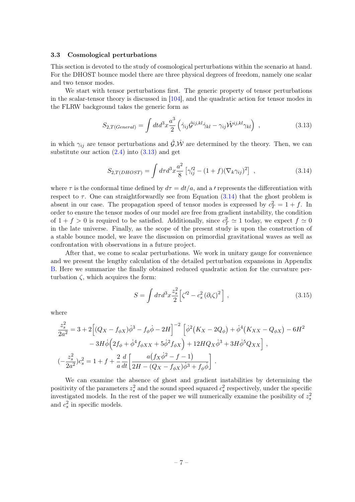#### <span id="page-7-0"></span>3.3 Cosmological perturbations

This section is devoted to the study of cosmological perturbations within the scenario at hand. For the DHOST bounce model there are three physical degrees of freedom, namely one scalar and two tensor modes.

We start with tensor perturbations first. The generic property of tensor perturbations in the scalar-tensor theory is discussed in [\[104\]](#page-22-2), and the quadratic action for tensor modes in the FLRW background takes the generic form as

<span id="page-7-1"></span>
$$
S_{2,T(General)} = \int dt d^3x \frac{a^3}{2} \left( \dot{\gamma}_{ij} \hat{\mathcal{G}}^{ij,kl} \dot{\gamma}_{kl} - \gamma_{ij} \hat{\mathcal{W}}^{ij,kl} \gamma_{kl} \right) , \qquad (3.13)
$$

in which  $\gamma_{ij}$  are tensor perturbations and  $\hat{\mathcal{G}}, \hat{\mathcal{W}}$  are determined by the theory. Then, we can substitute our action  $(2.4)$  into  $(3.13)$  and get

<span id="page-7-2"></span>
$$
S_{2,T(DHOST)} = \int d\tau d^3x \frac{a^2}{8} \left[ \gamma_{ij}^{\prime 2} - (1+f)(\nabla_k \gamma_{ij})^2 \right] , \qquad (3.14)
$$

where  $\tau$  is the conformal time defined by  $d\tau = dt/a$ , and a *l* represents the differentiation with respect to  $\tau$ . One can straightforwardly see from Equation [\(3.14\)](#page-7-2) that the ghost problem is absent in our case. The propagation speed of tensor modes is expressed by  $c_T^2 = 1 + f$ . In order to ensure the tensor modes of our model are free from gradient instability, the condition of  $1 + f > 0$  is required to be satisfied. Additionally, since  $c_T^2 \simeq 1$  today, we expect  $f \simeq 0$ in the late universe. Finally, as the scope of the present study is upon the construction of a stable bounce model, we leave the discussion on primordial gravitational waves as well as confrontation with observations in a future project.

After that, we come to scalar perturbations. We work in unitary gauge for convenience and we present the lengthy calculation of the detailed perturbation expansions in Appendix [B.](#page-14-0) Here we summarize the finally obtained reduced quadratic action for the curvature perturbation ζ, which acquires the form:

$$
S = \int d\tau d^3 x \frac{z_s^2}{2} \left[ \zeta'^2 - c_s^2 (\partial_i \zeta)^2 \right],
$$
 (3.15)

where

$$
\frac{z_s^2}{2a^2} = 3 + 2\left[ (Q_X - f_{\phi X})\dot{\phi}^3 - f_{\phi}\dot{\phi} - 2H \right]^{-2} \left[ \dot{\phi}^2 (K_X - 2Q_{\phi}) + \dot{\phi}^4 (K_{XX} - Q_{\phi X}) - 6H^2 \right] \n- 3H\dot{\phi} \left( 2f_{\phi} + \dot{\phi}^4 f_{\phi XX} + 5\dot{\phi}^2 f_{\phi X} \right) + 12HQ_X\dot{\phi}^3 + 3H\dot{\phi}^5 Q_{XX} \right],
$$
\n
$$
(-\frac{z_s^2}{2a^2})c_s^2 = 1 + f + \frac{2}{a} \frac{d}{dt} \left[ \frac{a(f_X\dot{\phi}^2 - f - 1)}{2H - (Q_X - f_{\phi X})\dot{\phi}^3 + f_{\phi}\dot{\phi}} \right].
$$

We can examine the absence of ghost and gradient instabilities by determining the positivity of the parameters  $z_s^2$  and the sound speed squared  $c_s^2$  respectively, under the specific investigated models. In the rest of the paper we will numerically examine the posibility of  $z_s^2$ and  $c_s^2$  in specific models.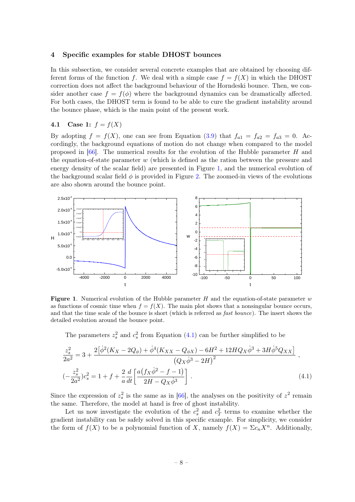#### <span id="page-8-0"></span>4 Specific examples for stable DHOST bounces

In this subsection, we consider several concrete examples that are obtained by choosing different forms of the function f. We deal with a simple case  $f = f(X)$  in which the DHOST correction does not affect the background behaviour of the Horndeski bounce. Then, we consider another case  $f = f(\phi)$  where the background dynamics can be dramatically affected. For both cases, the DHOST term is found to be able to cure the gradient instability around the bounce phase, which is the main point of the present work.

# <span id="page-8-1"></span>4.1 Case 1:  $f = f(X)$

By adopting  $f = f(X)$ , one can see from Equation [\(3.9\)](#page-6-4) that  $f_{a1} = f_{a2} = f_{a3} = 0$ . Accordingly, the background equations of motion do not change when compared to the model proposed in  $[66]$ . The numerical results for the evolution of the Hubble parameter H and the equation-of-state parameter  $w$  (which is defined as the ration between the pressure and energy density of the scalar field) are presented in Figure [1,](#page-8-2) and the numerical evolution of the background scalar field  $\phi$  is provided in Figure [2.](#page-9-0) The zoomed-in views of the evolutions are also shown around the bounce point.



<span id="page-8-2"></span>**Figure 1.** Numerical evolution of the Hubble parameter  $H$  and the equation-of-state parameter  $w$ as functions of cosmic time when  $f = f(X)$ . The main plot shows that a nonsingular bounce occurs, and that the time scale of the bounce is short (which is referred as fast bounce). The insert shows the detailed evolution around the bounce point.

<span id="page-8-3"></span>The parameters  $z_s^2$  and  $c_s^2$  from Equation [\(4.1\)](#page-8-3) can be further simplified to be

$$
\frac{z_s^2}{2a^2} = 3 + \frac{2[\dot{\phi}^2(K_X - 2Q_\phi) + \dot{\phi}^4(K_{XX} - Q_{\phi X}) - 6H^2 + 12HQ_X\dot{\phi}^3 + 3H\dot{\phi}^5Q_{XX}]}{(Q_X\dot{\phi}^3 - 2H)^2},
$$
  

$$
\left(-\frac{z_s^2}{2a^2}\right)c_s^2 = 1 + f + \frac{2}{a}\frac{d}{dt}\left[\frac{a(f_X\dot{\phi}^2 - f - 1)}{2H - Q_X\dot{\phi}^3}\right].
$$
 (4.1)

Since the expression of  $z_s^2$  is the same as in [\[66\]](#page-20-3), the analyses on the positivity of  $z^2$  remain the same. Therefore, the model at hand is free of ghost instability.

Let us now investigate the evolution of the  $c_s^2$  and  $c_T^2$  terms to examine whether the gradient instability can be safely solved in this specific example. For simplicity, we consider the form of  $f(X)$  to be a polynomial function of X, namely  $f(X) = \sum c_n X^n$ . Additionally,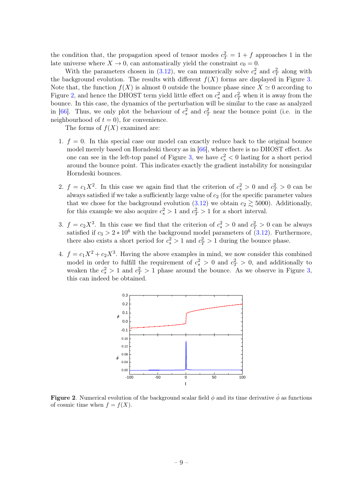the condition that, the propagation speed of tensor modes  $c_T^2 = 1 + f$  approaches 1 in the late universe where  $X \to 0$ , can automatically yield the constraint  $c_0 = 0$ .

With the parameters chosen in [\(3.12\)](#page-6-5), we can numerically solve  $c_s^2$  and  $c_T^2$  along with the background evolution. The results with different  $f(X)$  forms are displayed in Figure [3.](#page-10-1) Note that, the function  $f(X)$  is almost 0 outside the bounce phase since  $X \simeq 0$  according to Figure [2,](#page-9-0) and hence the DHOST term yield little effect on  $c_s^2$  and  $c_T^2$  when it is away from the bounce. In this case, the dynamics of the perturbation will be similar to the case as analyzed in [\[66\]](#page-20-3). Thus, we only plot the behaviour of  $c_s^2$  and  $c_T^2$  near the bounce point (i.e. in the neighbourhood of  $t = 0$ , for convenience.

The forms of  $f(X)$  examined are:

- 1.  $f = 0$ . In this special case our model can exactly reduce back to the original bounce model merely based on Horndeski theory as in [\[66\]](#page-20-3), where there is no DHOST effect. As one can see in the left-top panel of Figure [3,](#page-10-1) we have  $c_s^2 < 0$  lasting for a short period around the bounce point. This indicates exactly the gradient instability for nonsingular Horndeski bounces.
- 2.  $f = c_1 X^2$ . In this case we again find that the criterion of  $c_s^2 > 0$  and  $c_T^2 > 0$  can be always satisfied if we take a sufficiently large value of  $c_2$  (for the specific parameter values that we chose for the background evolution  $(3.12)$  we obtain  $c_2 \geq 5000$ . Additionally, for this example we also acquire  $c_s^2 > 1$  and  $c_T^2 > 1$  for a short interval.
- 3.  $f = c_2 X^3$ . In this case we find that the criterion of  $c_s^2 > 0$  and  $c_T^2 > 0$  can be always satisfied if  $c_3 > 2 * 10^6$  with the background model parameters of [\(3.12\)](#page-6-5). Furthermore, there also exists a short period for  $c_s^2 > 1$  and  $c_T^2 > 1$  during the bounce phase.
- 4.  $f = c_1 X^2 + c_2 X^3$ . Having the above examples in mind, we now consider this combined model in order to fulfill the requirement of  $c_s^2 > 0$  and  $c_T^2 > 0$ , and additionally to weaken the  $c_s^2 > 1$  and  $c_T^2 > 1$  phase around the bounce. As we observe in Figure [3,](#page-10-1) this can indeed be obtained.



<span id="page-9-0"></span>Figure 2. Numerical evolution of the background scalar field  $\phi$  and its time derivative  $\dot{\phi}$  as functions of cosmic time when  $f = f(X)$ .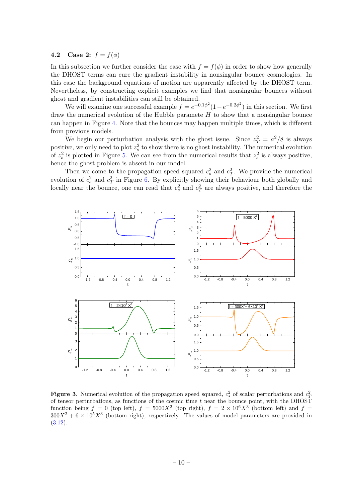# <span id="page-10-0"></span>**4.2** Case 2:  $f = f(\phi)$

In this subsection we further consider the case with  $f = f(\phi)$  in order to show how generally the DHOST terms can cure the gradient instability in nonsingular bounce cosmologies. In this case the background equations of motion are apparently affected by the DHOST term. Nevertheless, by constructing explicit examples we find that nonsingular bounces without ghost and gradient instabilities can still be obtained.

We will examine one successful example  $f = e^{-0.1\phi^2} (1 - e^{-0.2\phi^2})$  in this section. We first draw the numerical evolution of the Hubble paramete  $H$  to show that a nonsingular bounce can happen in Figure [4.](#page-11-1) Note that the bounces may happen multiple times, which is different from previous models.

We begin our perturbation analysis with the ghost issue. Since  $z_T^2 = a^2/8$  is always positive, we only need to plot  $z_s^2$  to show there is no ghost instability. The numerical evolution of  $z_s^2$  is plotted in Figure [5.](#page-11-2) We can see from the numerical results that  $z_s^2$  is always positive, hence the ghost problem is absent in our model.

Then we come to the propagation speed squared  $c_s^2$  and  $c_T^2$ . We provide the numerical evolution of  $c_s^2$  and  $c_T^2$  in Figure [6.](#page-12-1) By explicitly showing their behaviour both globally and locally near the bounce, one can read that  $c_s^2$  and  $c_T^2$  are always positive, and therefore the



<span id="page-10-1"></span>**Figure 3.** Numerical evolution of the propagation speed squared,  $c_s^2$  of scalar perturbations and  $c_T^2$ of tensor perturbations, as functions of the cosmic time t near the bounce point, with the DHOST function being  $f = 0$  (top left),  $f = 5000X^2$  (top right),  $f = 2 \times 10^6 X^3$  (bottom left) and  $f =$  $300X^2 + 6 \times 10^5 X^3$  (bottom right), respectively. The values of model parameters are provided in  $(3.12).$  $(3.12).$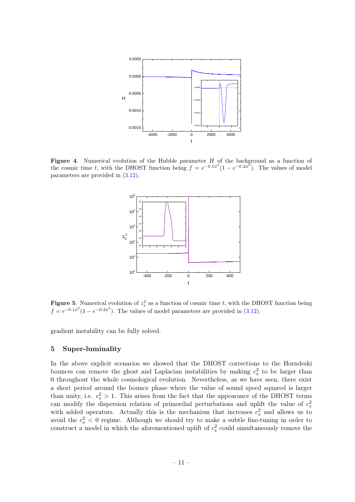

<span id="page-11-1"></span>**Figure 4.** Numerical evolution of the Hubble parameter H of the background as a function of the cosmic time t, with the DHOST function being  $f = e^{-0.1\phi^2}(1 - e^{-0.2\phi^2})$ . The values of model parameters are provided in [\(3.12\)](#page-6-5).



<span id="page-11-2"></span>**Figure 5.** Numerical evolution of  $z_s^2$  as a function of cosmic time t, with the DHOST function being  $f = e^{-0.1\phi^2} (1 - e^{-0.2\phi^2})$ . The values of model parameters are provided in [\(3.12\)](#page-6-5).

gradient instability can be fully solved.

# <span id="page-11-0"></span>5 Super-luminality

In the above explicit scenarios we showed that the DHOST corrections to the Horndeski bounces can remove the ghost and Laplacian instabilities by making  $c_s^2$  to be larger than 0 throughout the whole cosmological evolution. Nevertheless, as we have seen, there exist a short period around the bounce phase where the value of sound speed squared is larger than unity, i.e.  $c_s^2 > 1$ . This arises from the fact that the appearance of the DHOST terms can modify the dispersion relation of primordial perturbations and uplift the value of  $c_s^2$ with added operators. Actually this is the mechanism that increases  $c_s^2$  and allows us to avoid the  $c_s^2 < 0$  regime. Although we should try to make a subtle fine-tuning in order to construct a model in which the aforementioned uplift of  $c_s^2$  could simultaneously remove the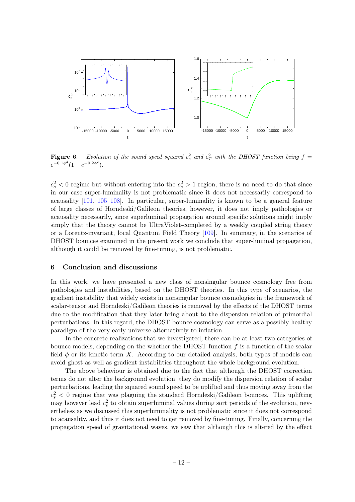

<span id="page-12-1"></span>**Figure 6.** Evolution of the sound speed squared  $c_s^2$  and  $c_T^2$  with the DHOST function being  $f =$  $e^{-0.1\phi^2}(1-e^{-0.2\phi^2}).$ 

 $c_s^2 < 0$  regime but without entering into the  $c_s^2 > 1$  region, there is no need to do that since in our case super-luminality is not problematic since it does not necessarily correspond to acausality [\[101,](#page-22-0) [105–](#page-22-3)[108\]](#page-22-4). In particular, super-luminality is known to be a general feature of large classes of Horndeski/Galileon theories, however, it does not imply pathologies or acausality necessarily, since superluminal propagation around specific solutions might imply simply that the theory cannot be UltraViolet-completed by a weekly coupled string theory or a Lorentz-invariant, local Quantum Field Theory [\[109\]](#page-22-5). In summary, in the scenarios of DHOST bounces examined in the present work we conclude that super-luminal propagation, although it could be removed by fine-tuning, is not problematic.

#### <span id="page-12-0"></span>6 Conclusion and discussions

In this work, we have presented a new class of nonsingular bounce cosmology free from pathologies and instabilities, based on the DHOST theories. In this type of scenarios, the gradient instability that widely exists in nonsingular bounce cosmologies in the framework of scalar-tensor and Horndeski/Galileon theories is removed by the effects of the DHOST terms due to the modification that they later bring about to the dispersion relation of primordial perturbations. In this regard, the DHOST bounce cosmology can serve as a possibly healthy paradigm of the very early universe alternatively to inflation.

In the concrete realizations that we investigated, there can be at least two categories of bounce models, depending on the whether the DHOST function  $f$  is a function of the scalar field  $\phi$  or its kinetic term X. According to our detailed analysis, both types of models can avoid ghost as well as gradient instabilities throughout the whole background evolution.

The above behaviour is obtained due to the fact that although the DHOST correction terms do not alter the background evolution, they do modify the dispersion relation of scalar perturbations, leading the squared sound speed to be uplifted and thus moving away from the  $c_s^2 < 0$  regime that was plaguing the standard Horndeski/Galileon bounces. This uplifting may however lead  $c_s^2$  to obtain superluminal values during sort periods of the evolution, nevertheless as we discussed this superluminality is not problematic since it does not correspond to acausality, and thus it does not need to get removed by fine-tuning. Finally, concerning the propagation speed of gravitational waves, we saw that although this is altered by the effect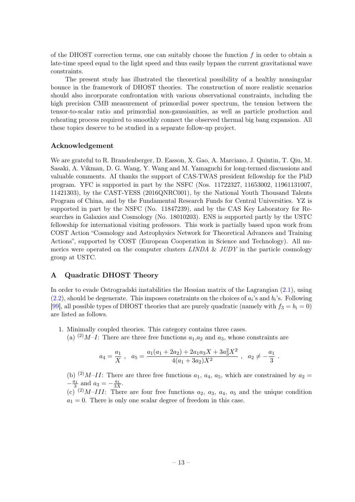of the DHOST correction terms, one can suitably choose the function  $f$  in order to obtain a late-time speed equal to the light speed and thus easily bypass the current gravitational wave constraints.

The present study has illustrated the theoretical possibility of a healthy nonsingular bounce in the framework of DHOST theories. The construction of more realistic scenarios should also incorporate confrontation with various observational constraints, including the high precision CMB measurement of primordial power spectrum, the tension between the tensor-to-scalar ratio and primordial non-gaussianities, as well as particle production and reheating process required to smoothly connect the observed thermal big bang expansion. All these topics deserve to be studied in a separate follow-up project.

# Acknowledgement

We are grateful to R. Brandenberger, D. Easson, X. Gao, A. Marciano, J. Quintin, T. Qiu, M. Sasaki, A. Vikman, D. G. Wang, Y. Wang and M. Yamaguchi for long-termed discussions and valuable comments. AI thanks the support of CAS-TWAS president fellowship for the PhD program. YFC is supported in part by the NSFC (Nos. 11722327, 11653002, 11961131007, 11421303), by the CAST-YESS (2016QNRC001), by the National Youth Thousand Talents Program of China, and by the Fundamental Research Funds for Central Universities. YZ is supported in part by the NSFC (No. 11847239), and by the CAS Key Laboratory for Researches in Galaxies and Cosmology (No. 18010203). ENS is supported partly by the USTC fellowship for international visiting professors. This work is partially based upon work from COST Action "Cosmology and Astrophysics Network for Theoretical Advances and Training Actions", supported by COST (European Cooperation in Science and Technology). All numerics were operated on the computer clusters  $LINDA \& JUDY$  in the particle cosmology group at USTC.

# <span id="page-13-0"></span>A Quadratic DHOST Theory

In order to evade Ostrogradski instabilities the Hessian matrix of the Lagrangian [\(2.1\)](#page-3-1), using  $(2.2)$ , should be degenerate. This imposes constraints on the choices of  $a_i$ 's and  $b_i$ 's. Following [\[99\]](#page-21-17), all possible types of DHOST theories that are purely quadratic (namely with  $f_3 = b_i = 0$ ) are listed as follows.

- 1. Minimally coupled theories. This category contains three cases.
	- (a) <sup>(2)</sup>M–I: There are three free functions  $a_1, a_2$  and  $a_3$ , whose constraints are

$$
a_4 = \frac{a_1}{X} , \quad a_5 = \frac{a_1(a_1 + 2a_2) + 2a_1a_3X + 3a_3^2X^2}{4(a_1 + 3a_2)X^2} , \quad a_2 \neq -\frac{a_1}{3} .
$$

(b) <sup>(2)</sup>M–II: There are three free functions  $a_1, a_4, a_5$ , which are constrained by  $a_2 =$  $-\frac{a_1}{3}$  and  $a_3 = -\frac{a_1}{3X}$ .

(c) <sup>(2)</sup>M–III: There are four free functions  $a_2$ ,  $a_3$ ,  $a_4$ ,  $a_5$  and the unique condition  $a_1 = 0$ . There is only one scalar degree of freedom in this case.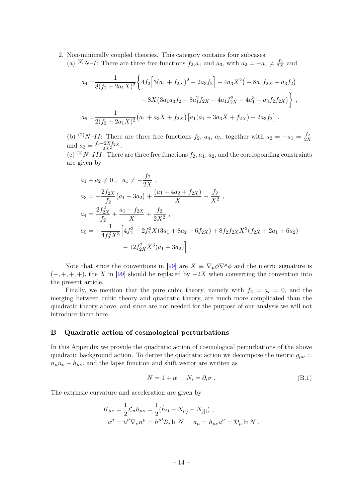2. Non-minimally coupled theories. This category contains four subcases.

(a) <sup>(2)</sup>N–I: There are three free functions  $f_2, a_1$  and  $a_3$ , with  $a_2 = -a_1 \neq \frac{f_2}{2\lambda}$  $\frac{J_2}{2X}$  and

$$
a_4 = \frac{1}{8(f_2 + 2a_1X)^2} \left\{ 4f_2 \left[ 3(a_1 + f_{2X})^2 - 2a_3f_2 \right] - 4a_3X^2 \left( -8a_1f_{2X} + a_3f_2 \right) \right. \\ \left. - 8X \left( 3a_1a_3f_2 - 8a_1^2f_{2X} - 4a_1f_{2X}^2 - 4a_1^3 - a_3f_2f_{2X} \right) \right\},
$$
  

$$
a_5 = \frac{1}{2(f_2 + 2a_1X)^2} \left( a_1 + a_3X + f_{2X} \right) \left[ a_1(a_1 - 3a_3X + f_{2X}) - 2a_3f_2 \right] .
$$

(b) <sup>(2)</sup>N–II: There are three free functions  $f_2$ ,  $a_4$ ,  $a_5$ , together with  $a_2 = -a_1 = \frac{f_2}{2\lambda}$ 2X and  $a_3 = \frac{f_2 - 2Xf_2X}{2X^2}$ .

(c) <sup>(2)</sup>N–*III*: There are three free functions  $f_2$ ,  $a_1$ ,  $a_2$ , and the corresponding constraints are given by

$$
a_1 + a_2 \neq 0, \quad a_1 \neq -\frac{f_2}{2X},
$$
  
\n
$$
a_3 = -\frac{2f_{2X}}{f_2}(a_1 + 3a_2) + \frac{(a_1 + 4a_2 + f_{2X})}{X} - \frac{f_2}{X^2},
$$
  
\n
$$
a_4 = \frac{2f_{2X}^2}{f_2} + \frac{a_1 - f_{2X}}{X} + \frac{f_2}{2X^2},
$$
  
\n
$$
a_5 = -\frac{1}{4f_2^2X^3} \Big[ 4f_2^3 - 2f_2^2X(3a_1 + 8a_2 + 6f_{2X}) + 8f_2f_{2X}X^2(f_{2X} + 2a_1 + 6a_2) - 12f_{2X}^2X^3(a_1 + 3a_2) \Big].
$$

Note that since the conventions in [\[99\]](#page-21-17) are  $X \equiv \nabla_{\mu} \phi \nabla^{\mu} \phi$  and the metric signature is  $(-, +, +, +)$ , the X in [\[99\]](#page-21-17) should be replaced by  $-2X$  when converting the convention into the present article.

Finally, we mention that the pure cubic theory, namely with  $f_2 = a_i = 0$ , and the merging between cubic theory and quadratic theory, are much more complicated than the quadratic theory above, and since are not needed for the purpose of our analysis we will not introduce them here.

#### <span id="page-14-0"></span>B Quadratic action of cosmological perturbations

In this Appendix we provide the quadratic action of cosmological perturbations of the above quadratic background action. To derive the quadratic action we decompose the metric  $g_{\mu\nu} =$  $n_{\mu}n_{\nu} - h_{\mu\nu}$ , and the lapse function and shift vector are written as

$$
N = 1 + \alpha \ , \quad N_i = \partial_i \sigma \ . \tag{B.1}
$$

The extrinsic curvature and acceleration are given by

$$
K_{\mu\nu} = \frac{1}{2} \mathcal{L}_n h_{\mu\nu} = \frac{1}{2} (\dot{h}_{ij} - N_{i|j} - N_{j|i}) ,
$$
  

$$
a^{\mu} = n^{\nu} \nabla_{\nu} n^{\mu} = h^{\mu i} \mathcal{D}_i \ln N , \quad a_{\mu} = h_{\mu\nu} a^{\nu} = \mathcal{D}_{\mu} \ln N .
$$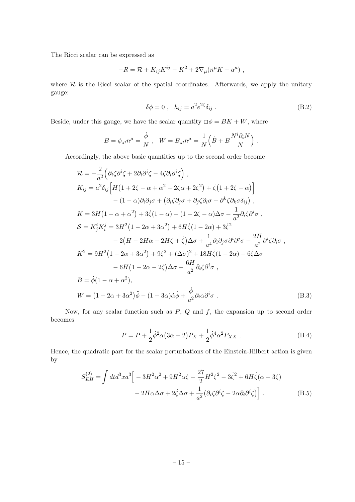The Ricci scalar can be expressed as

$$
-R = \mathcal{R} + K_{ij}K^{ij} - K^2 + 2\nabla_\mu(n^\mu K - a^\mu) ,
$$

where  $R$  is the Ricci scalar of the spatial coordinates. Afterwards, we apply the unitary gauge:

$$
\delta \phi = 0 \;, \quad h_{ij} = a^2 e^{2\zeta} \delta_{ij} \; . \tag{B.2}
$$

Beside, under this gauge, we have the scalar quantity  $\Box \phi = BK + W$ , where

$$
B = \phi_{,\mu} n^{\mu} = \frac{\dot{\phi}}{N} , \quad W = B_{,\mu} n^{\mu} = \frac{1}{N} \Big( \dot{B} + B \frac{N^i \partial_i N}{N} \Big) .
$$

Accordingly, the above basic quantities up to the second order become

$$
\mathcal{R} = -\frac{2}{a^2} \Big( \partial_i \zeta \partial^i \zeta + 2 \partial_i \partial^i \zeta - 4 \zeta \partial_i \partial^i \zeta \Big) ,
$$
  
\n
$$
K_{ij} = a^2 \delta_{ij} \Big[ H \Big( 1 + 2 \zeta - \alpha + \alpha^2 - 2 \zeta \alpha + 2 \zeta^2 \Big) + \dot{\zeta} \Big( 1 + 2 \zeta - \alpha \Big) \Big] - (1 - \alpha) \partial_i \partial_j \sigma + \Big( \partial_i \zeta \partial_j \sigma + \partial_j \zeta \partial_i \sigma - \partial^k \zeta \partial_k \sigma \delta_{ij} \Big) ,
$$
  
\n
$$
K = 3H \Big( 1 - \alpha + \alpha^2 \Big) + 3 \dot{\zeta} \Big( 1 - \alpha \Big) - (1 - 2 \zeta - \alpha) \Delta \sigma - \frac{1}{a^2} \partial_i \zeta \partial^i \sigma ,
$$
  
\n
$$
\mathcal{S} = K_j^i K_i^j = 3H^2 \Big( 1 - 2\alpha + 3\alpha^2 \Big) + 6H \dot{\zeta} \Big( 1 - 2\alpha \Big) + 3 \dot{\zeta}^2 - 2 \Big( H - 2H\alpha - 2H\zeta + \dot{\zeta} \Big) \Delta \sigma + \frac{1}{a^4} \partial_i \partial_j \sigma \partial^i \partial^j \sigma - \frac{2H}{a^2} \partial^i \zeta \partial_i \sigma ,
$$
  
\n
$$
K^2 = 9H^2 \Big( 1 - 2\alpha + 3\alpha^2 \Big) + 9 \dot{\zeta}^2 + (\Delta \sigma)^2 + 18H \dot{\zeta} \Big( 1 - 2\alpha \Big) - 6 \dot{\zeta} \Delta \sigma - 6H \Big( 1 - 2\alpha - 2 \zeta \Big) \Delta \sigma - \frac{6H}{a^2} \partial_i \zeta \partial^i \sigma ,
$$
  
\n
$$
B = \dot{\phi} \Big( 1 - \alpha + \alpha^2 \Big),
$$
  
\n
$$
W = \Big( 1 - 2\alpha + 3\alpha^2 \Big) \ddot{\phi} - \Big( 1 - 3\alpha \Big) \dot{\alpha} \dot{\phi} + \frac{\dot{\phi}}{a^2} \partial_i \alpha \partial^i \sigma .
$$

Now, for any scalar function such as  $P$ ,  $Q$  and  $f$ , the expansion up to second order becomes

$$
P = \overline{P} + \frac{1}{2}\dot{\phi}^2\alpha(3\alpha - 2)\overline{P_X} + \frac{1}{2}\dot{\phi}^4\alpha^2\overline{P_{XX}}.
$$
 (B.4)

Hence, the quadratic part for the scalar perturbations of the Einstein-Hilbert action is given by

$$
S_{EH}^{(2)} = \int dt d^3x a^3 \left[ -3H^2 \alpha^2 + 9H^2 \alpha \zeta - \frac{27}{2} H^2 \zeta^2 - 3\dot{\zeta}^2 + 6H\dot{\zeta}(\alpha - 3\zeta) -2H\alpha\Delta\sigma + 2\dot{\zeta}\Delta\sigma + \frac{1}{a^2} \left( \partial_i \zeta \partial^i \zeta - 2\alpha \partial_i \partial^i \zeta \right) \right].
$$
 (B.5)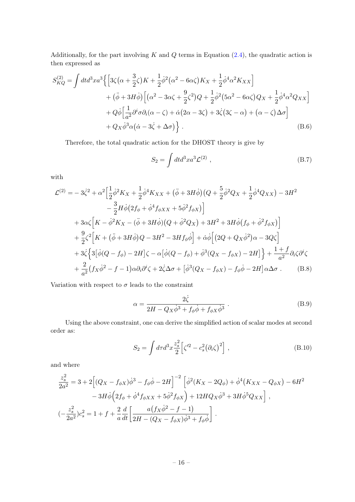Additionally, for the part involving  $K$  and  $Q$  terms in Equation [\(2.4\)](#page-4-0), the quadratic action is then expressed as

$$
S_{KQ}^{(2)} = \int dt d^3x a^3 \left\{ \left[ 3\zeta \left( \alpha + \frac{3}{2}\zeta \right) K + \frac{1}{2} \dot{\phi}^2 \left( \alpha^2 - 6\alpha \zeta \right) K_X + \frac{1}{2} \dot{\phi}^4 \alpha^2 K_{XX} \right] \right.+ \left( \ddot{\phi} + 3H\dot{\phi} \right) \left[ \left( \alpha^2 - 3\alpha \zeta + \frac{9}{2}\zeta^2 \right) Q + \frac{1}{2} \dot{\phi}^2 \left( 5\alpha^2 - 6\alpha \zeta \right) Q_X + \frac{1}{2} \dot{\phi}^4 \alpha^2 Q_{XX} \right] + Q\dot{\phi} \left[ \frac{1}{a^2} \partial^i \sigma \partial_i (\alpha - \zeta) + \dot{\alpha} (2\alpha - 3\zeta) + 3\dot{\zeta} (3\zeta - \alpha) + (\alpha - \zeta) \Delta \sigma \right] + Q_X \dot{\phi}^3 \alpha (\dot{\alpha} - 3\dot{\zeta} + \Delta \sigma) \right\}.
$$
 (B.6)

Therefore, the total quadratic action for the DHOST theory is give by

$$
S_2 = \int dt d^3x a^3 \mathcal{L}^{(2)} , \qquad (B.7)
$$

with

$$
\mathcal{L}^{(2)} = -3\dot{\zeta}^2 + \alpha^2 \Big[ \frac{1}{2} \dot{\phi}^2 K_X + \frac{1}{2} \dot{\phi}^4 K_X X + (\ddot{\phi} + 3H\dot{\phi}) \Big( Q + \frac{5}{2} \dot{\phi}^2 Q_X + \frac{1}{2} \dot{\phi}^4 Q_X X \Big) - 3H^2 \n- \frac{3}{2} H \dot{\phi} \Big( 2f_{\phi} + \dot{\phi}^4 f_{\phi X X} + 5 \dot{\phi}^2 f_{\phi X} \Big) \Big] \n+ 3\alpha \zeta \Big[ K - \dot{\phi}^2 K_X - (\ddot{\phi} + 3H\dot{\phi}) \Big( Q + \dot{\phi}^2 Q_X \Big) + 3H^2 + 3H\dot{\phi} \Big( f_{\phi} + \dot{\phi}^2 f_{\phi X} \Big) \Big] \n+ \frac{9}{2} \zeta^2 \Big[ K + (\ddot{\phi} + 3H\dot{\phi}) Q - 3H^2 - 3H f_{\phi} \dot{\phi} \Big] + \dot{\alpha} \dot{\phi} \Big[ (2Q + Q_X \dot{\phi}^2) \alpha - 3Q \zeta \Big] \n+ 3\dot{\zeta} \Big\{ 3 \Big[ \dot{\phi} (Q - f_{\phi}) - 2H \Big] \zeta - \alpha \Big[ \dot{\phi} (Q - f_{\phi}) + \dot{\phi}^3 (Q_X - f_{\phi X}) - 2H \Big] \Big\} + \frac{1 + f}{a^2} \partial_i \zeta \partial^i \zeta \n+ \frac{2}{a^2} \Big( f_X \dot{\phi}^2 - f - 1 \Big) \alpha \partial_i \partial^i \zeta + 2 \dot{\zeta} \Delta \sigma + \Big[ \dot{\phi}^3 (Q_X - f_{\phi X}) - f_{\phi} \dot{\phi} - 2H \Big] \alpha \Delta \sigma . \tag{B.8}
$$

Variation with respect to  $\sigma$  leads to the constraint

$$
\alpha = \frac{2\dot{\zeta}}{2H - Q_X \dot{\phi}^3 + f_{\phi}\dot{\phi} + f_{\phi X}\dot{\phi}^3} . \tag{B.9}
$$

Using the above constraint, one can derive the simplified action of scalar modes at second order as:

$$
S_2 = \int d\tau d^3x \frac{z_s^2}{2} \left[ \zeta'^2 - c_s^2 (\partial_i \zeta)^2 \right], \tag{B.10}
$$

and where

$$
\frac{z_s^2}{2a^2} = 3 + 2\left[ (Q_X - f_{\phi X})\dot{\phi}^3 - f_{\phi}\dot{\phi} - 2H \right]^{-2} \left[ \dot{\phi}^2 (K_X - 2Q_{\phi}) + \dot{\phi}^4 (K_{XX} - Q_{\phi X}) - 6H^2 - 3H\dot{\phi} \left( 2f_{\phi} + \dot{\phi}^4 f_{\phi XX} + 5\dot{\phi}^2 f_{\phi X} \right) + 12HQ_X\dot{\phi}^3 + 3H\dot{\phi}^5 Q_{XX} \right],
$$
  

$$
(-\frac{z_s^2}{2a^2})c_s^2 = 1 + f + \frac{2}{a}\frac{d}{dt} \left[ \frac{a(f_X\dot{\phi}^2 - f - 1)}{2H - (Q_X - f_{\phi X})\dot{\phi}^3 + f_{\phi}\dot{\phi}} \right].
$$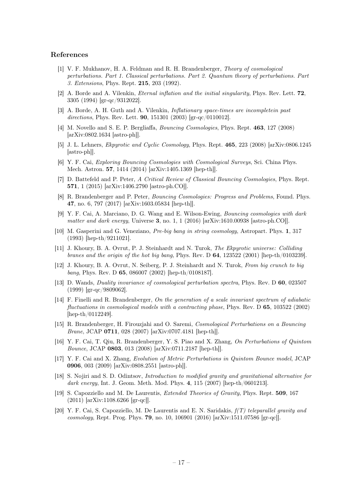#### References

- <span id="page-17-0"></span>[1] V. F. Mukhanov, H. A. Feldman and R. H. Brandenberger, Theory of cosmological perturbations. Part 1. Classical perturbations. Part 2. Quantum theory of perturbations. Part 3. Extensions, Phys. Rept. 215, 203 (1992).
- <span id="page-17-1"></span>[2] A. Borde and A. Vilenkin, Eternal inflation and the initial singularity, Phys. Rev. Lett. 72, 3305 (1994) [gr-qc/9312022].
- <span id="page-17-2"></span>[3] A. Borde, A. H. Guth and A. Vilenkin, *Inflationary space-times are incompletein past* directions, Phys. Rev. Lett. **90**, 151301 (2003) [gr-qc/0110012].
- <span id="page-17-3"></span>[4] M. Novello and S. E. P. Bergliaffa, Bouncing Cosmologies, Phys. Rept. 463, 127 (2008) [arXiv:0802.1634 [astro-ph]].
- [5] J. L. Lehners, Ekpyrotic and Cyclic Cosmology, Phys. Rept. 465, 223 (2008) [arXiv:0806.1245 [astro-ph]].
- [6] Y. F. Cai, Exploring Bouncing Cosmologies with Cosmological Surveys, Sci. China Phys. Mech. Astron. 57, 1414 (2014) [arXiv:1405.1369 [hep-th]].
- [7] D. Battefeld and P. Peter, A Critical Review of Classical Bouncing Cosmologies, Phys. Rept. 571, 1 (2015) [arXiv:1406.2790 [astro-ph.CO]].
- [8] R. Brandenberger and P. Peter, Bouncing Cosmologies: Progress and Problems, Found. Phys. 47, no. 6, 797 (2017) [arXiv:1603.05834 [hep-th]].
- <span id="page-17-4"></span>[9] Y. F. Cai, A. Marciano, D. G. Wang and E. Wilson-Ewing, Bouncing cosmologies with dark matter and dark energy, Universe 3, no. 1, 1 (2016)  $\ar{Xiv:1610.00938}$  [astro-ph.CO]].
- <span id="page-17-5"></span>[10] M. Gasperini and G. Veneziano, Pre-big bang in string cosmology, Astropart. Phys. 1, 317 (1993) [hep-th/9211021].
- <span id="page-17-6"></span>[11] J. Khoury, B. A. Ovrut, P. J. Steinhardt and N. Turok, The Ekpyrotic universe: Colliding branes and the origin of the hot big bang, Phys. Rev. D 64, 123522 (2001) [hep-th/0103239].
- <span id="page-17-7"></span>[12] J. Khoury, B. A. Ovrut, N. Seiberg, P. J. Steinhardt and N. Turok, From big crunch to big bang, Phys. Rev. D 65, 086007 (2002) [hep-th/0108187].
- <span id="page-17-8"></span>[13] D. Wands, Duality invariance of cosmological perturbation spectra, Phys. Rev. D 60, 023507 (1999) [gr-qc/9809062].
- <span id="page-17-9"></span>[14] F. Finelli and R. Brandenberger, On the generation of a scale invariant spectrum of adiabatic fluctuations in cosmological models with a contracting phase, Phys. Rev. D 65, 103522 (2002) [hep-th/0112249].
- <span id="page-17-10"></span>[15] R. Brandenberger, H. Firouzjahi and O. Saremi, Cosmological Perturbations on a Bouncing Brane, JCAP 0711, 028 (2007) [arXiv:0707.4181 [hep-th]].
- [16] Y. F. Cai, T. Qiu, R. Brandenberger, Y. S. Piao and X. Zhang, On Perturbations of Quintom Bounce, JCAP 0803, 013 (2008) [arXiv:0711.2187 [hep-th]].
- <span id="page-17-11"></span>[17] Y. F. Cai and X. Zhang, Evolution of Metric Perturbations in Quintom Bounce model, JCAP 0906, 003 (2009) [arXiv:0808.2551 [astro-ph]].
- <span id="page-17-12"></span>[18] S. Nojiri and S. D. Odintsov, Introduction to modified gravity and gravitational alternative for dark energy, Int. J. Geom. Meth. Mod. Phys. 4, 115 (2007) [hep-th/0601213].
- [19] S. Capozziello and M. De Laurentis, Extended Theories of Gravity, Phys. Rept. 509, 167 (2011) [arXiv:1108.6266 [gr-qc]].
- <span id="page-17-13"></span>[20] Y. F. Cai, S. Capozziello, M. De Laurentis and E. N. Saridakis, f(T) teleparallel gravity and cosmology, Rept. Prog. Phys. 79, no. 10, 106901 (2016) [arXiv:1511.07586 [gr-qc]].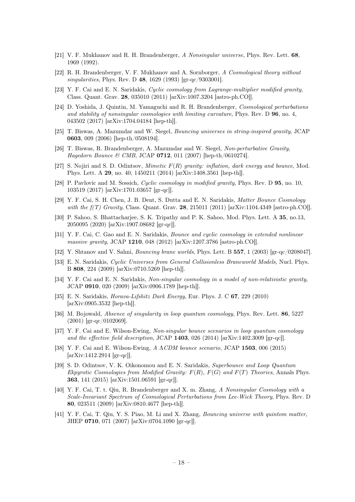- <span id="page-18-0"></span>[21] V. F. Mukhanov and R. H. Brandenberger, A Nonsingular universe, Phys. Rev. Lett. 68, 1969 (1992).
- [22] R. H. Brandenberger, V. F. Mukhanov and A. Sornborger, A Cosmological theory without singularities, Phys. Rev. D 48, 1629 (1993) [gr-qc/9303001].
- [23] Y. F. Cai and E. N. Saridakis, Cyclic cosmology from Lagrange-multiplier modified gravity, Class. Quant. Grav. 28, 035010 (2011) [arXiv:1007.3204 [astro-ph.CO]].
- <span id="page-18-1"></span>[24] D. Yoshida, J. Quintin, M. Yamaguchi and R. H. Brandenberger, Cosmological perturbations and stability of nonsingular cosmologies with limiting curvature, Phys. Rev. D 96, no. 4, 043502 (2017) [arXiv:1704.04184 [hep-th]].
- <span id="page-18-2"></span>[25] T. Biswas, A. Mazumdar and W. Siegel, Bouncing universes in string-inspired gravity, JCAP 0603, 009 (2006) [hep-th/0508194].
- <span id="page-18-3"></span>[26] T. Biswas, R. Brandenberger, A. Mazumdar and W. Siegel, Non-perturbative Gravity, *Hagedorn Bounce* & CMB, JCAP **0712**, 011 (2007) [hep-th/0610274].
- <span id="page-18-4"></span>[27] S. Nojiri and S. D. Odintsov, *Mimetic*  $F(R)$  *gravity: inflation, dark energy and bounce*, Mod. Phys. Lett. A 29, no. 40, 1450211 (2014) [arXiv:1408.3561 [hep-th]].
- <span id="page-18-5"></span>[28] P. Pavlovic and M. Sossich, Cyclic cosmology in modified gravity, Phys. Rev. D 95, no. 10, 103519 (2017) [arXiv:1701.03657 [gr-qc]].
- <span id="page-18-6"></span>[29] Y. F. Cai, S. H. Chen, J. B. Dent, S. Dutta and E. N. Saridakis, Matter Bounce Cosmology with the  $f(T)$  Gravity, Class. Quant. Grav. 28, 215011 (2011) [arXiv:1104.4349 [astro-ph.CO]].
- <span id="page-18-7"></span>[30] P. Sahoo, S. Bhattacharjee, S. K. Tripathy and P. K. Sahoo, Mod. Phys. Lett. A 35, no.13, 2050095 (2020) [arXiv:1907.08682 [gr-qc]].
- <span id="page-18-8"></span>[31] Y. F. Cai, C. Gao and E. N. Saridakis, *Bounce and cyclic cosmology in extended nonlinear* massive gravity, JCAP 1210, 048 (2012) [arXiv:1207.3786 [astro-ph.CO]].
- <span id="page-18-9"></span>[32] Y. Shtanov and V. Sahni, Bouncing brane worlds, Phys. Lett. B 557, 1 (2003) [gr-qc/0208047].
- <span id="page-18-10"></span>[33] E. N. Saridakis, Cyclic Universes from General Collisionless Braneworld Models, Nucl. Phys. B 808, 224 (2009) [arXiv:0710.5269 [hep-th]].
- <span id="page-18-11"></span>[34] Y. F. Cai and E. N. Saridakis, Non-singular cosmology in a model of non-relativistic gravity, JCAP 0910, 020 (2009) [arXiv:0906.1789 [hep-th]].
- <span id="page-18-12"></span>[35] E. N. Saridakis, Horava-Lifshitz Dark Energy, Eur. Phys. J. C 67, 229 (2010) [arXiv:0905.3532 [hep-th]].
- <span id="page-18-13"></span>[36] M. Bojowald, Absence of singularity in loop quantum cosmology, Phys. Rev. Lett. 86, 5227 (2001) [gr-qc/0102069].
- [37] Y. F. Cai and E. Wilson-Ewing, Non-singular bounce scenarios in loop quantum cosmology and the effective field description, JCAP 1403, 026 (2014) [arXiv:1402.3009 [gr-qc]].
- [38] Y. F. Cai and E. Wilson-Ewing, A ΛCDM bounce scenario, JCAP 1503, 006 (2015) [arXiv:1412.2914 [gr-qc]].
- <span id="page-18-14"></span>[39] S. D. Odintsov, V. K. Oikonomou and E. N. Saridakis, Superbounce and Loop Quantum Ekpyrotic Cosmologies from Modified Gravity:  $F(R)$ ,  $F(G)$  and  $F(T)$  Theories, Annals Phys. 363, 141 (2015) [arXiv:1501.06591 [gr-qc]].
- <span id="page-18-15"></span>[40] Y. F. Cai, T. t. Qiu, R. Brandenberger and X. m. Zhang, A Nonsingular Cosmology with a Scale-Invariant Spectrum of Cosmological Perturbations from Lee-Wick Theory, Phys. Rev. D 80, 023511 (2009) [arXiv:0810.4677 [hep-th]].
- [41] Y. F. Cai, T. Qiu, Y. S. Piao, M. Li and X. Zhang, Bouncing universe with quintom matter, JHEP 0710, 071 (2007) [arXiv:0704.1090 [gr-qc]].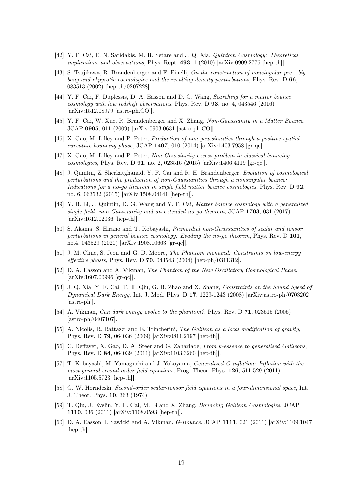- <span id="page-19-0"></span>[42] Y. F. Cai, E. N. Saridakis, M. R. Setare and J. Q. Xia, Quintom Cosmology: Theoretical implications and observations, Phys. Rept. 493, 1 (2010) [arXiv:0909.2776 [hep-th]].
- <span id="page-19-1"></span>[43] S. Tsujikawa, R. Brandenberger and F. Finelli, On the construction of nonsingular pre - big bang and ekpyrotic cosmologies and the resulting density perturbations, Phys. Rev. D 66, 083513 (2002) [hep-th/0207228].
- <span id="page-19-2"></span>[44] Y. F. Cai, F. Duplessis, D. A. Easson and D. G. Wang, Searching for a matter bounce cosmology with low redshift observations, Phys. Rev. D 93, no. 4, 043546 (2016) [arXiv:1512.08979 [astro-ph.CO]].
- <span id="page-19-3"></span>[45] Y. F. Cai, W. Xue, R. Brandenberger and X. Zhang, Non-Gaussianity in a Matter Bounce, JCAP 0905, 011 (2009) [arXiv:0903.0631 [astro-ph.CO]].
- [46] X. Gao, M. Lilley and P. Peter, Production of non-gaussianities through a positive spatial curvature bouncing phase, JCAP 1407, 010 (2014) [arXiv:1403.7958 [gr-qc]].
- <span id="page-19-4"></span>[47] X. Gao, M. Lilley and P. Peter, Non-Gaussianity excess problem in classical bouncing cosmologies, Phys. Rev. D 91, no. 2, 023516 (2015) [arXiv:1406.4119 [gr-qc]].
- <span id="page-19-5"></span>[48] J. Quintin, Z. Sherkatghanad, Y. F. Cai and R. H. Brandenberger, Evolution of cosmological perturbations and the production of non-Gaussianities through a nonsingular bounce: Indications for a no-go theorem in single field matter bounce cosmologies, Phys. Rev. D 92, no. 6, 063532 (2015) [arXiv:1508.04141 [hep-th]].
- [49] Y. B. Li, J. Quintin, D. G. Wang and Y. F. Cai, Matter bounce cosmology with a generalized single field: non-Gaussianity and an extended no-go theorem, JCAP 1703, 031 (2017) [arXiv:1612.02036 [hep-th]].
- <span id="page-19-6"></span>[50] S. Akama, S. Hirano and T. Kobayashi, Primordial non-Gaussianities of scalar and tensor perturbations in general bounce cosmology: Evading the no-go theorem, Phys. Rev. D 101, no.4, 043529 (2020) [arXiv:1908.10663 [gr-qc]].
- <span id="page-19-7"></span>[51] J. M. Cline, S. Jeon and G. D. Moore, The Phantom menaced: Constraints on low-energy effective ghosts, Phys. Rev. D  $70$ , 043543 (2004) [hep-ph/0311312].
- [52] D. A. Easson and A. Vikman, The Phantom of the New Oscillatory Cosmological Phase, [arXiv:1607.00996 [gr-qc]].
- [53] J. Q. Xia, Y. F. Cai, T. T. Qiu, G. B. Zhao and X. Zhang, Constraints on the Sound Speed of Dynamical Dark Energy, Int. J. Mod. Phys. D 17, 1229-1243 (2008) [arXiv:astro-ph/0703202 [astro-ph]].
- <span id="page-19-8"></span>[54] A. Vikman, *Can dark energy evolve to the phantom?*, Phys. Rev. D **71**, 023515 (2005)  $[astro-ph/0407107]$ .
- <span id="page-19-9"></span>[55] A. Nicolis, R. Rattazzi and E. Trincherini, The Galileon as a local modification of gravity, Phys. Rev. D 79, 064036 (2009) [arXiv:0811.2197 [hep-th]].
- [56] C. Deffayet, X. Gao, D. A. Steer and G. Zahariade, From k-essence to generalised Galileons, Phys. Rev. D 84, 064039 (2011) [arXiv:1103.3260 [hep-th]].
- [57] T. Kobayashi, M. Yamaguchi and J. Yokoyama, Generalized G-inflation: Inflation with the most general second-order field equations, Prog. Theor. Phys. 126, 511-529 (2011) [arXiv:1105.5723 [hep-th]].
- <span id="page-19-10"></span>[58] G. W. Horndeski, Second-order scalar-tensor field equations in a four-dimensional space, Int. J. Theor. Phys. 10, 363 (1974).
- <span id="page-19-11"></span>[59] T. Qiu, J. Evslin, Y. F. Cai, M. Li and X. Zhang, Bouncing Galileon Cosmologies, JCAP 1110, 036 (2011) [arXiv:1108.0593 [hep-th]].
- <span id="page-19-12"></span>[60] D. A. Easson, I. Sawicki and A. Vikman, G-Bounce, JCAP 1111, 021 (2011) [arXiv:1109.1047 [hep-th]].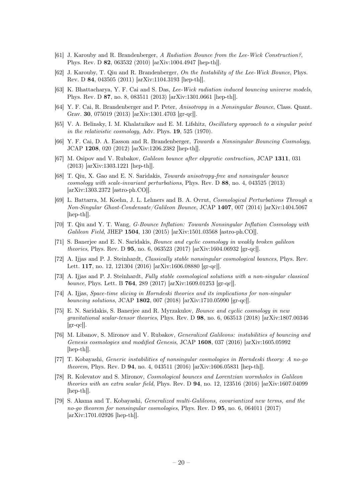- <span id="page-20-0"></span>[61] J. Karouby and R. Brandenberger, A Radiation Bounce from the Lee-Wick Construction?, Phys. Rev. D 82, 063532 (2010) [arXiv:1004.4947 [hep-th]].
- [62] J. Karouby, T. Qiu and R. Brandenberger, On the Instability of the Lee-Wick Bounce, Phys. Rev. D 84, 043505 (2011) [arXiv:1104.3193 [hep-th]].
- [63] K. Bhattacharya, Y. F. Cai and S. Das, Lee-Wick radiation induced bouncing universe models, Phys. Rev. D 87, no. 8, 083511 (2013) [arXiv:1301.0661 [hep-th]].
- <span id="page-20-1"></span>[64] Y. F. Cai, R. Brandenberger and P. Peter, Anisotropy in a Nonsingular Bounce, Class. Quant. Grav. 30, 075019 (2013) [arXiv:1301.4703 [gr-qc]].
- <span id="page-20-2"></span>[65] V. A. Belinsky, I. M. Khalatnikov and E. M. Lifshitz, Oscillatory approach to a singular point in the relativistic cosmology, Adv. Phys. 19, 525 (1970).
- <span id="page-20-3"></span>[66] Y. F. Cai, D. A. Easson and R. Brandenberger, Towards a Nonsingular Bouncing Cosmology, JCAP 1208, 020 (2012) [arXiv:1206.2382 [hep-th]].
- <span id="page-20-4"></span>[67] M. Osipov and V. Rubakov, Galileon bounce after ekpyrotic contraction, JCAP 1311, 031 (2013) [arXiv:1303.1221 [hep-th]].
- [68] T. Qiu, X. Gao and E. N. Saridakis, Towards anisotropy-free and nonsingular bounce cosmology with scale-invariant perturbations, Phys. Rev. D 88, no. 4, 043525 (2013) [arXiv:1303.2372 [astro-ph.CO]].
- [69] L. Battarra, M. Koehn, J. L. Lehners and B. A. Ovrut, Cosmological Perturbations Through a Non-Singular Ghost-Condensate/Galileon Bounce, JCAP 1407, 007 (2014) [arXiv:1404.5067 [hep-th]].
- [70] T. Qiu and Y. T. Wang, G-Bounce Inflation: Towards Nonsingular Inflation Cosmology with Galileon Field, JHEP 1504, 130 (2015) [arXiv:1501.03568 [astro-ph.CO]].
- [71] S. Banerjee and E. N. Saridakis, Bounce and cyclic cosmology in weakly broken galileon theories, Phys. Rev. D 95, no. 6, 063523 (2017) [arXiv:1604.06932 [gr-qc]].
- [72] A. Ijjas and P. J. Steinhardt, Classically stable nonsingular cosmological bounces, Phys. Rev. Lett. 117, no. 12, 121304 (2016) [arXiv:1606.08880 [gr-qc]].
- [73] A. Ijjas and P. J. Steinhardt, Fully stable cosmological solutions with a non-singular classical bounce, Phys. Lett. B 764, 289 (2017) [arXiv:1609.01253 [gr-qc]].
- [74] A. Ijjas, Space-time slicing in Horndeski theories and its implications for non-singular bouncing solutions, JCAP 1802, 007 (2018) [arXiv:1710.05990 [gr-qc]].
- <span id="page-20-5"></span>[75] E. N. Saridakis, S. Banerjee and R. Myrzakulov, Bounce and cyclic cosmology in new gravitational scalar-tensor theories, Phys. Rev. D 98, no. 6, 063513 (2018) [arXiv:1807.00346  $\left[\text{gr-qcl}\right]$ .
- <span id="page-20-6"></span>[76] M. Libanov, S. Mironov and V. Rubakov, Generalized Galileons: instabilities of bouncing and Genesis cosmologies and modified Genesis, JCAP 1608, 037 (2016) [arXiv:1605.05992 [hep-th]].
- [77] T. Kobayashi, Generic instabilities of nonsingular cosmologies in Horndeski theory: A no-go theorem, Phys. Rev. D 94, no. 4, 043511 (2016) [arXiv:1606.05831 [hep-th]].
- [78] R. Kolevatov and S. Mironov, Cosmological bounces and Lorentzian wormholes in Galileon theories with an extra scalar field, Phys. Rev. D  $94$ , no. 12, 123516 (2016) [arXiv:1607.04099 [hep-th]].
- <span id="page-20-7"></span>[79] S. Akama and T. Kobayashi, Generalized multi-Galileons, covariantized new terms, and the no-go theorem for nonsingular cosmologies, Phys. Rev. D  $95$ , no. 6, 064011 (2017) [arXiv:1701.02926 [hep-th]].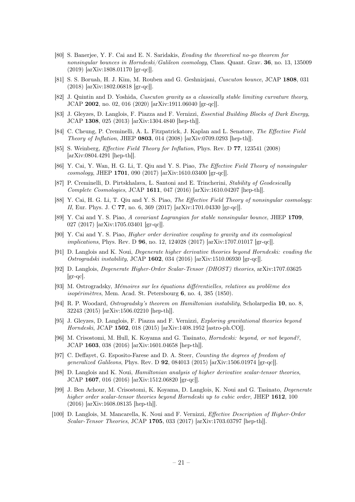- <span id="page-21-0"></span>[80] S. Banerjee, Y. F. Cai and E. N. Saridakis, Evading the theoretical no-go theorem for nonsingular bounces in Horndeski/Galileon cosmology, Class. Quant. Grav. 36, no. 13, 135009 (2019) [arXiv:1808.01170 [gr-qc]].
- <span id="page-21-1"></span>[81] S. S. Boruah, H. J. Kim, M. Rouben and G. Geshnizjani, Cuscuton bounce, JCAP 1808, 031 (2018) [arXiv:1802.06818 [gr-qc]].
- <span id="page-21-2"></span>[82] J. Quintin and D. Yoshida, Cuscuton gravity as a classically stable limiting curvature theory, JCAP 2002, no. 02, 016 (2020) [arXiv:1911.06040 [gr-qc]].
- <span id="page-21-3"></span>[83] J. Gleyzes, D. Langlois, F. Piazza and F. Vernizzi, Essential Building Blocks of Dark Energy, JCAP 1308, 025 (2013) [arXiv:1304.4840 [hep-th]].
- [84] C. Cheung, P. Creminelli, A. L. Fitzpatrick, J. Kaplan and L. Senatore, The Effective Field Theory of Inflation, JHEP 0803, 014 (2008) [arXiv:0709.0293 [hep-th]].
- <span id="page-21-4"></span>[85] S. Weinberg, Effective Field Theory for Inflation, Phys. Rev. D 77, 123541 (2008) [arXiv:0804.4291 [hep-th]].
- <span id="page-21-5"></span>[86] Y. Cai, Y. Wan, H. G. Li, T. Qiu and Y. S. Piao, The Effective Field Theory of nonsingular cosmology, JHEP 1701, 090 (2017) [arXiv:1610.03400 [gr-qc]].
- [87] P. Creminelli, D. Pirtskhalava, L. Santoni and E. Trincherini, Stability of Geodesically Complete Cosmologies, JCAP 1611, 047 (2016) [arXiv:1610.04207 [hep-th]].
- [88] Y. Cai, H. G. Li, T. Qiu and Y. S. Piao, The Effective Field Theory of nonsingular cosmology: II, Eur. Phys. J. C 77, no. 6, 369 (2017) [arXiv:1701.04330 [gr-qc]].
- <span id="page-21-16"></span>[89] Y. Cai and Y. S. Piao, A covariant Lagrangian for stable nonsingular bounce, JHEP 1709, 027 (2017) [arXiv:1705.03401 [gr-qc]].
- <span id="page-21-6"></span>[90] Y. Cai and Y. S. Piao, Higher order derivative coupling to gravity and its cosmological implications, Phys. Rev. D **96**, no. 12, 124028 (2017) [arXiv:1707.01017 [gr-qc]].
- <span id="page-21-7"></span>[91] D. Langlois and K. Noui, Degenerate higher derivative theories beyond Horndeski: evading the Ostrogradski instability, JCAP 1602, 034 (2016) [arXiv:1510.06930 [gr-qc]].
- <span id="page-21-8"></span>[92] D. Langlois, Degenerate Higher-Order Scalar-Tensor (DHOST) theories, arXiv:1707.03625 [gr-qc].
- <span id="page-21-9"></span>[93] M. Ostrogradsky, Mémoires sur les équations différentielles, relatives au problème des isopérimètres, Mem. Acad. St. Petersbourg 6, no. 4, 385 (1850).
- <span id="page-21-10"></span>[94] R. P. Woodard, Ostrogradsky's theorem on Hamiltonian instability, Scholarpedia 10, no. 8, 32243 (2015) [arXiv:1506.02210 [hep-th]].
- <span id="page-21-11"></span>[95] J. Gleyzes, D. Langlois, F. Piazza and F. Vernizzi, Exploring gravitational theories beyond Horndeski, JCAP 1502, 018 (2015) [arXiv:1408.1952 [astro-ph.CO]].
- <span id="page-21-12"></span>[96] M. Crisostomi, M. Hull, K. Koyama and G. Tasinato, Horndeski: beyond, or not beyond?, JCAP 1603, 038 (2016) [arXiv:1601.04658 [hep-th]].
- <span id="page-21-13"></span>[97] C. Deffayet, G. Esposito-Farese and D. A. Steer, Counting the degrees of freedom of generalized Galileons, Phys. Rev. D 92, 084013 (2015) [arXiv:1506.01974 [gr-qc]].
- <span id="page-21-14"></span>[98] D. Langlois and K. Noui, Hamiltonian analysis of higher derivative scalar-tensor theories, JCAP 1607, 016 (2016) [arXiv:1512.06820 [gr-qc]].
- <span id="page-21-17"></span>[99] J. Ben Achour, M. Crisostomi, K. Koyama, D. Langlois, K. Noui and G. Tasinato, Degenerate higher order scalar-tensor theories beyond Horndeski up to cubic order, JHEP 1612, 100 (2016) [arXiv:1608.08135 [hep-th]].
- <span id="page-21-15"></span>[100] D. Langlois, M. Mancarella, K. Noui and F. Vernizzi, Effective Description of Higher-Order Scalar-Tensor Theories, JCAP 1705, 033 (2017) [arXiv:1703.03797 [hep-th]].